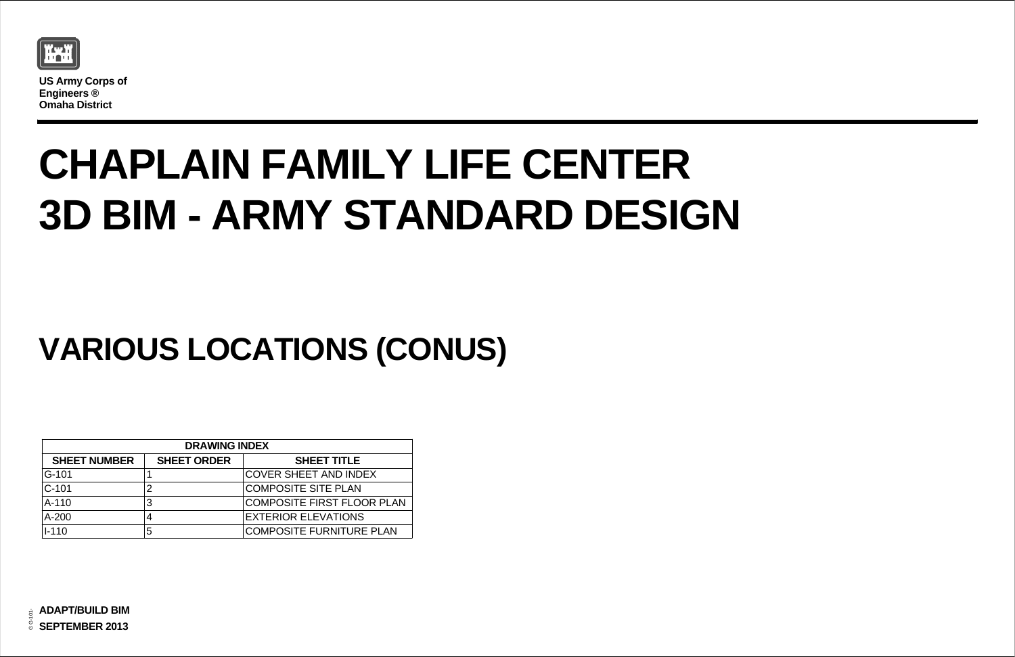

**US Army Corps of Engineers ® Omaha District**

## **CHAPLAIN FAMILY LIFE CENTER 3D BIM - ARMY STANDARD DESIGN**

| (         |  |
|-----------|--|
|           |  |
| R PLAN    |  |
|           |  |
| PLAI<br>N |  |

## **VARIOUS LOCATIONS (CONUS)**

| <b>DRAWING INDEX</b> |                    |                                   |  |  |  |  |
|----------------------|--------------------|-----------------------------------|--|--|--|--|
| <b>SHEET NUMBER</b>  | <b>SHEET ORDER</b> | <b>SHEET TITLE</b>                |  |  |  |  |
| $G-101$              |                    | <b>COVER SHEET AND INDEX</b>      |  |  |  |  |
| $C-101$              | $\overline{2}$     | <b>COMPOSITE SITE PLAN</b>        |  |  |  |  |
| $A-110$              | 3                  | <b>COMPOSITE FIRST FLOOR PLAN</b> |  |  |  |  |
| $A-200$              | 4                  | <b>EXTERIOR ELEVATIONS</b>        |  |  |  |  |
| $I - 110$            | 5                  | <b>COMPOSITE FURNITURE PLAN</b>   |  |  |  |  |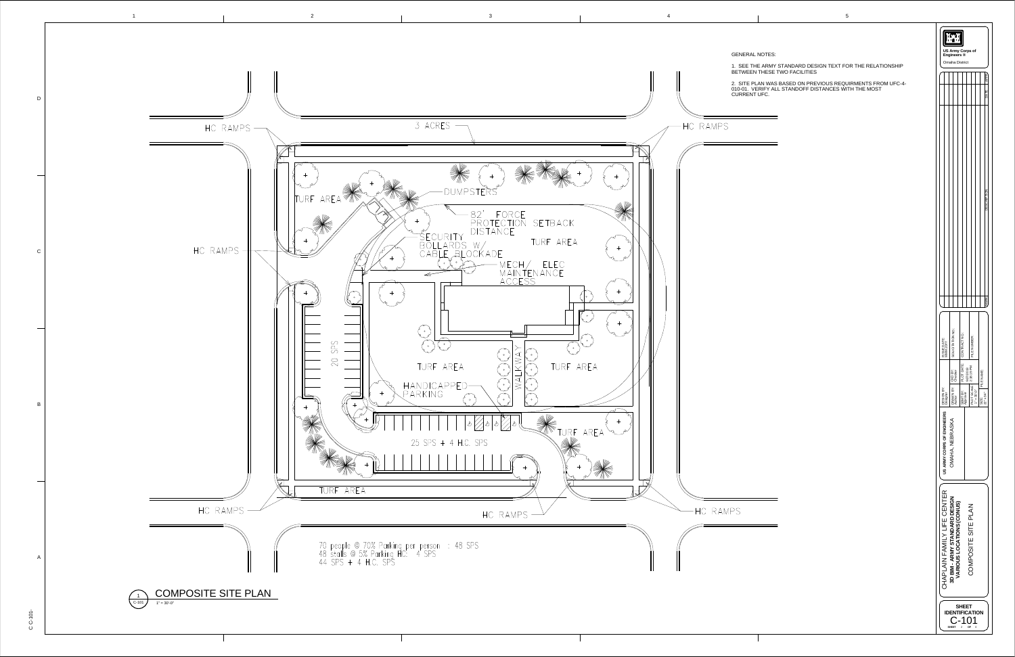**SHEET IDENTIFICATION**

C-101

DRAWN BY:

Designer<br>|DRAWN<br>Author<br>|SBMT BN<br>|Approver

DESIGN BY:

SBMT BY:

SIZE :

FILE NAME:

**US ARMY CORPS OF ENGINEERS**

CKD BY:

22" x 34"

 $\geq$ **A R I O ⊇** <u>ທ</u> **L O** <u>ب</u> **A T I O N** <u>ທ</u> **( C O N** <u>⊃</u> <u>ທ</u> **)**

 $\mathsf{\mathsf{C}}$ O Š  $\mathbf{\underline{a}}$ O ღ  $\overline{\overline{} }$ щ  $\boldsymbol{\omega}$  $\overline{\mathord{\sqsubset}}$ щ  $\mathbf{a}$ ب A Z

PLOT SCALE:

 $1" = 30"$ 

PLOT DATE:

CKD BY:<br>Checker<br>PLOT DATE:<br>PLOT 2:18:19 PM<br>2:18:19 PM

**SHEET OF**

<u>ო</u> **D B I M - A R** <u>້ອ</u> **∑**  $\boldsymbol{\omega}$ **T A N D A R D D E** <u>ທຸ</u> <u>ب</u> <u>7</u>

 $\bm{\mathsf{C}}$ 王  $\overline{\mathcal{X}}$ <u>م</u> L A  $\equiv$ Lщ A  $\mathsf{\Sigma}% _{H}$  $\equiv$  $\succ$  $\overline{\phantom{0}}$ <u>ட</u> щ  $\mathsf O$ щ  $\mathsf{\Xi}% _{M_{1},M_{2}}^{\alpha,\beta}(\mathbb{R}^{N})$  $\overline{\phantom{1}}$ щ  $\propto$  9/27/2013 2:18:19 PM



Try **US Army Corps of** GENERAL NOTES: **Engineers ®** Omaha District 1. SEE THE ARMY STANDARD DESIGN TEXT FOR THE RELATIONSHIP BETWEEN THESE TWO FACILITIES MARK DESCRIPTION DATE APPR 2. SITE PLAN WAS BASED ON PREVIOUS REQUIRMENTS FROM UFC-4- 010-01. VERIFY ALL STANDOFF DISTANCES WITH THE MOST CURRENT UFC. SOLICITATION NO.: CONTRACT NO.: :FILE NUMBER ISSUE DATE: MMM 20YY  $\frac{3}{2}$   $\frac{3}{2}$   $\frac{3}{2}$   $\frac{3}{2}$ 

> O ≨  $\leq$ 工 ≤ , Z  $\mathbf \equiv$ m  $\widetilde{\mathbf{K}}$ A ၯ K A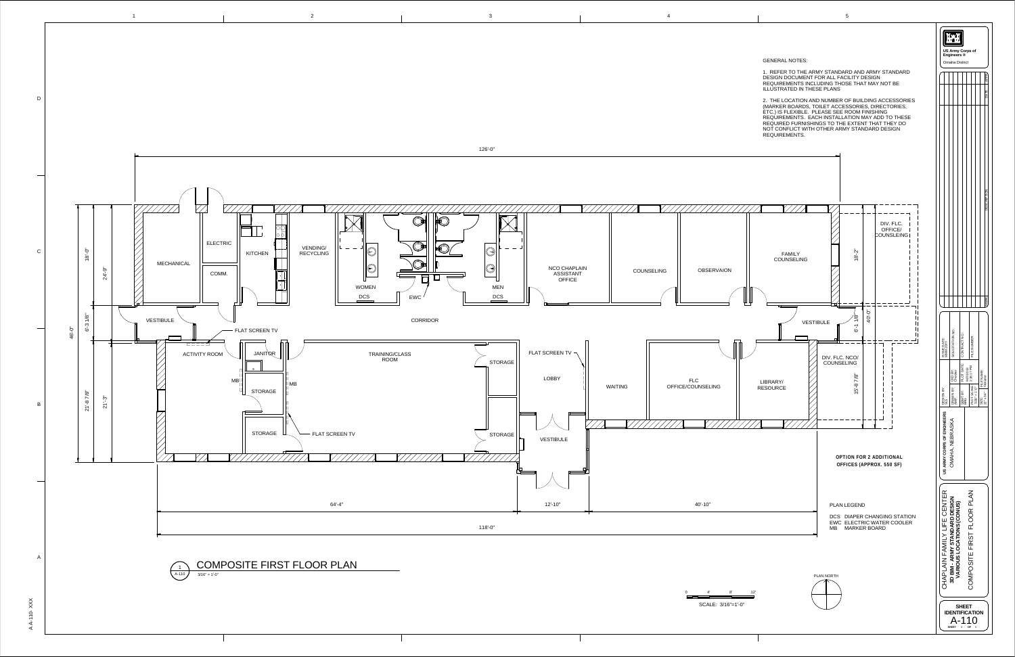

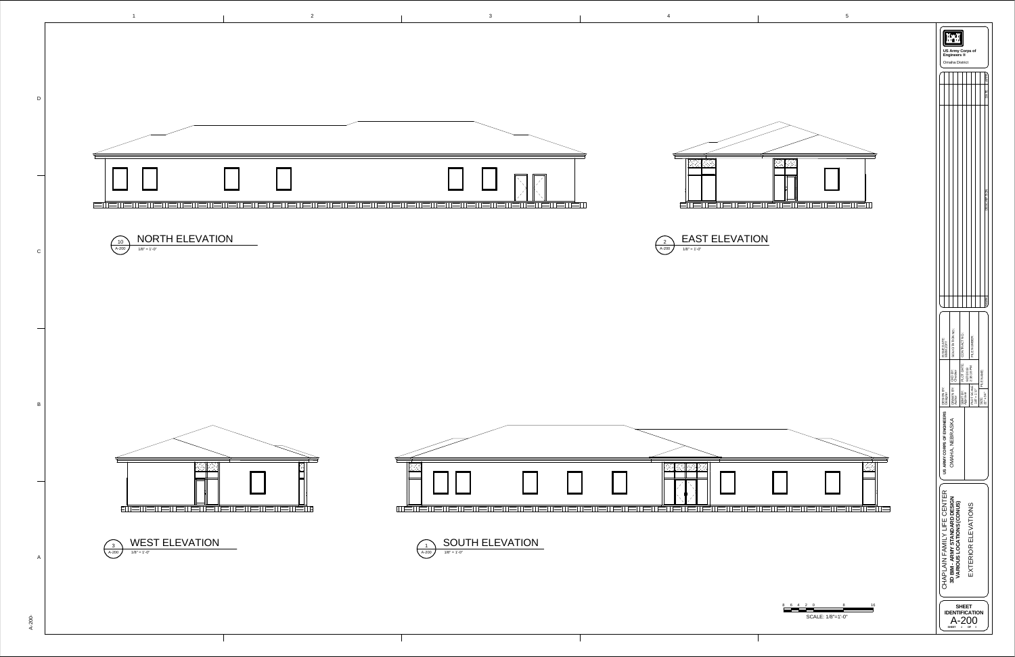